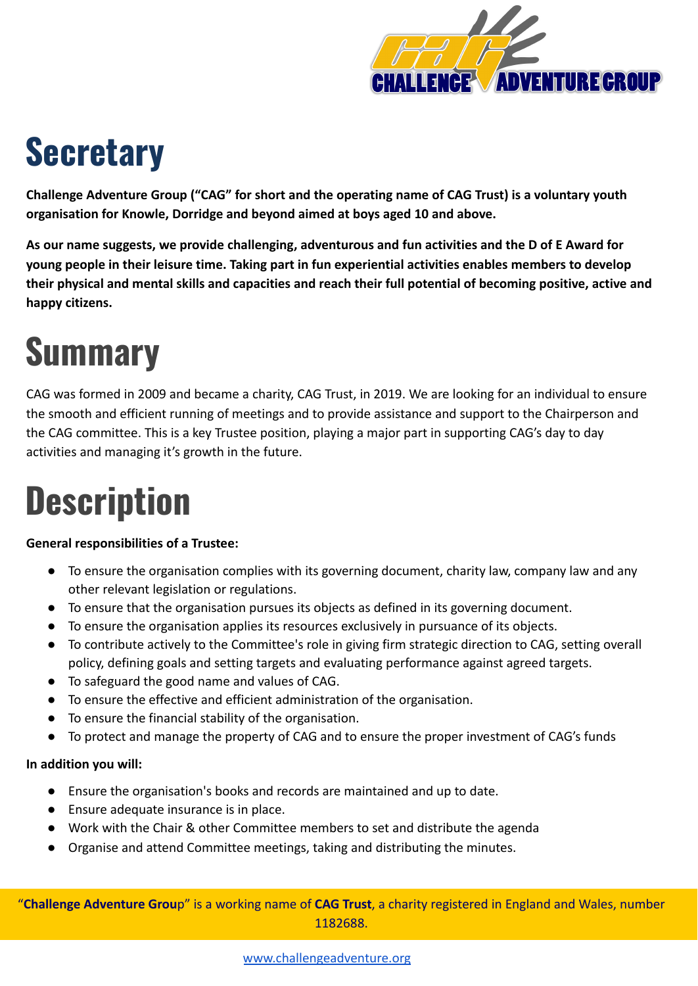

## **Secretary**

**Challenge Adventure Group ("CAG" for short and the operating name of CAG Trust) is a voluntary youth organisation for Knowle, Dorridge and beyond aimed at boys aged 10 and above.**

**As our name suggests, we provide challenging, adventurous and fun activities and the D of E Award for young people in their leisure time. Taking part in fun experiential activities enables members to develop their physical and mental skills and capacities and reach their full potential of becoming positive, active and happy citizens.**

# **Summary**

CAG was formed in 2009 and became a charity, CAG Trust, in 2019. We are looking for an individual to ensure the smooth and efficient running of meetings and to provide assistance and support to the Chairperson and the CAG committee. This is a key Trustee position, playing a major part in supporting CAG's day to day activities and managing it's growth in the future.

# **Description**

#### **General responsibilities of a Trustee:**

- To ensure the organisation complies with its governing document, charity law, company law and any other relevant legislation or regulations.
- To ensure that the organisation pursues its objects as defined in its governing document.
- To ensure the organisation applies its resources exclusively in pursuance of its objects.
- To contribute actively to the Committee's role in giving firm strategic direction to CAG, setting overall policy, defining goals and setting targets and evaluating performance against agreed targets.
- To safeguard the good name and values of CAG.
- To ensure the effective and efficient administration of the organisation.
- To ensure the financial stability of the organisation.
- To protect and manage the property of CAG and to ensure the proper investment of CAG's funds

#### **In addition you will:**

- Ensure the organisation's books and records are maintained and up to date.
- Ensure adequate insurance is in place.
- Work with the Chair & other Committee members to set and distribute the agenda
- Organise and attend Committee meetings, taking and distributing the minutes.

"**Challenge Adventure Grou**p" is a working name of **CAG Trust**, a charity registered in England and Wales, number 1182688.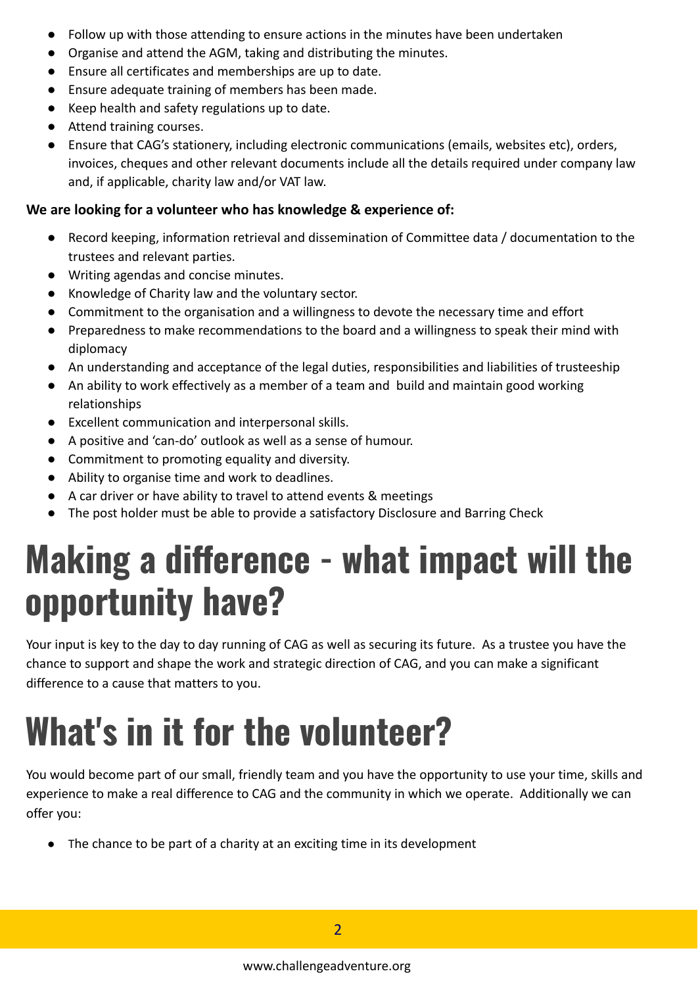- Follow up with those attending to ensure actions in the minutes have been undertaken
- Organise and attend the AGM, taking and distributing the minutes.
- Ensure all certificates and memberships are up to date.
- Ensure adequate training of members has been made.
- Keep health and safety regulations up to date.
- Attend training courses.
- Ensure that CAG's stationery, including electronic communications (emails, websites etc), orders, invoices, cheques and other relevant documents include all the details required under company law and, if applicable, charity law and/or VAT law.

#### **We are looking for a volunteer who has knowledge & experience of:**

- Record keeping, information retrieval and dissemination of Committee data / documentation to the trustees and relevant parties.
- Writing agendas and concise minutes.
- Knowledge of Charity law and the voluntary sector.
- Commitment to the organisation and a willingness to devote the necessary time and effort
- Preparedness to make recommendations to the board and a willingness to speak their mind with diplomacy
- An understanding and acceptance of the legal duties, responsibilities and liabilities of trusteeship
- An ability to work effectively as a member of a team and build and maintain good working relationships
- Excellent communication and interpersonal skills.
- A positive and 'can-do' outlook as well as a sense of humour.
- Commitment to promoting equality and diversity.
- Ability to organise time and work to deadlines.
- A car driver or have ability to travel to attend events & meetings
- The post holder must be able to provide a satisfactory Disclosure and Barring Check

## **Making a difference - what impact will the opportunity have?**

Your input is key to the day to day running of CAG as well as securing its future. As a trustee you have the chance to support and shape the work and strategic direction of CAG, and you can make a significant difference to a cause that matters to you.

# **What's in it for the volunteer?**

You would become part of our small, friendly team and you have the opportunity to use your time, skills and experience to make a real difference to CAG and the community in which we operate. Additionally we can offer you:

● The chance to be part of a charity at an exciting time in its development